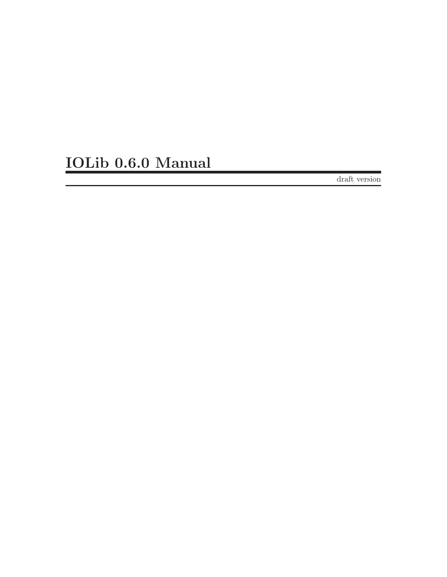# IOLib 0.6.0 Manual

draft version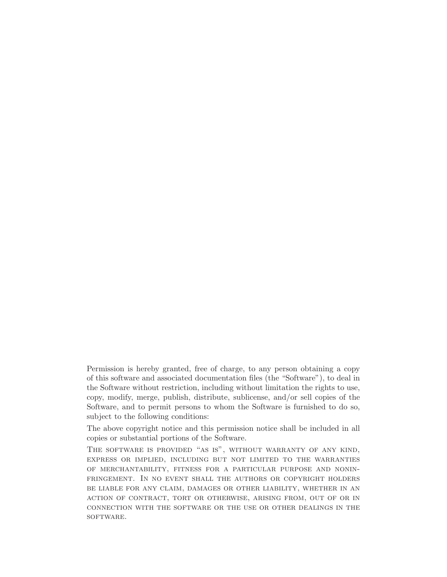Permission is hereby granted, free of charge, to any person obtaining a copy of this software and associated documentation files (the "Software"), to deal in the Software without restriction, including without limitation the rights to use, copy, modify, merge, publish, distribute, sublicense, and/or sell copies of the Software, and to permit persons to whom the Software is furnished to do so, subject to the following conditions:

The above copyright notice and this permission notice shall be included in all copies or substantial portions of the Software.

The software is provided "as is", without warranty of any kind, express or implied, including but not limited to the warranties of merchantability, fitness for a particular purpose and noninfringement. In no event shall the authors or copyright holders be liable for any claim, damages or other liability, whether in an action of contract, tort or otherwise, arising from, out of or in connection with the software or the use or other dealings in the SOFTWARE.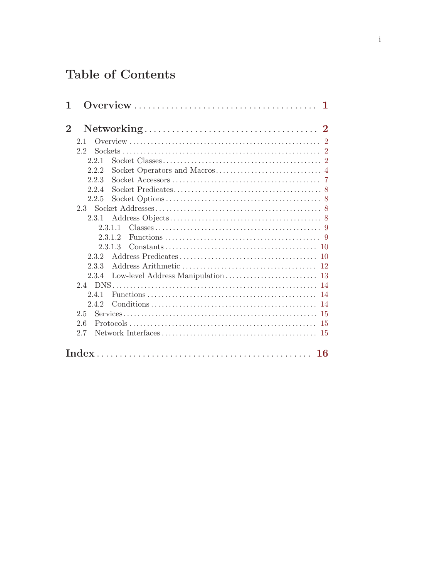# Table of Contents

| 1        | 1            |  |
|----------|--------------|--|
| $\bf{2}$ |              |  |
|          | 2.1          |  |
|          | 2.2          |  |
|          | 2.2.1        |  |
|          | 2.2.2        |  |
|          | 2.2.3        |  |
|          | 224          |  |
|          | 2.2.5        |  |
|          |              |  |
|          | 2.3.1        |  |
|          | 2311         |  |
|          | 2.3.1.2      |  |
|          | 2.3.1.3      |  |
|          | 2.3.2<br>10  |  |
|          | 2.3.3<br>-12 |  |
|          | 2.3.4        |  |
|          |              |  |
|          | 2.4.1<br>14  |  |
|          | 2.4.2<br>14  |  |
|          | 2.5<br>-15   |  |
|          | 2.6<br>-15   |  |
|          | 2.7<br>-15   |  |
|          | <b>16</b>    |  |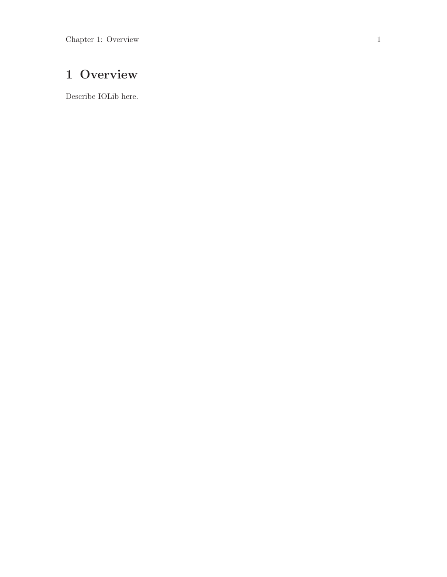# <span id="page-3-0"></span>1 Overview

Describe IOLib here.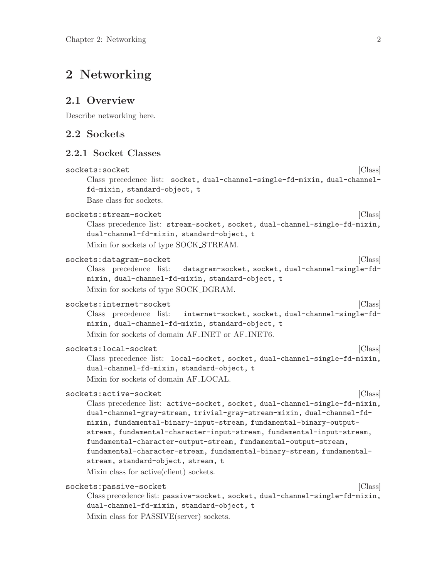# <span id="page-4-0"></span>2 Networking

### 2.1 Overview

Describe networking here.

## 2.2 Sockets

#### 2.2.1 Socket Classes

```
sockets:socket [Class]
    Class precedence list: socket, dual-channel-single-fd-mixin, dual-channel-
    fd-mixin, standard-object, t
    Base class for sockets.
sockets:stream-socket [Class]
    Class precedence list: stream-socket, socket, dual-channel-single-fd-mixin,
    dual-channel-fd-mixin, standard-object, t
    Mixin for sockets of type SOCK STREAM.
sockets:datagram-socket [Class]
    Class precedence list: datagram-socket, socket, dual-channel-single-fd-
    mixin, dual-channel-fd-mixin, standard-object, t
    Mixin for sockets of type SOCK DGRAM.
sockets:internet-socket [Class]
    Class precedence list: internet-socket, socket, dual-channel-single-fd-
    mixin, dual-channel-fd-mixin, standard-object, t
    Mixin for sockets of domain AF INET or AF INET6.
sockets:local-socket [Class]
    Class precedence list: local-socket, socket, dual-channel-single-fd-mixin,
    dual-channel-fd-mixin, standard-object, t
    Mixin for sockets of domain AF LOCAL.
sockets:active-socket [Class]
    Class precedence list: active-socket, socket, dual-channel-single-fd-mixin,
    dual-channel-gray-stream, trivial-gray-stream-mixin, dual-channel-fd-
    mixin, fundamental-binary-input-stream, fundamental-binary-output-
    stream, fundamental-character-input-stream, fundamental-input-stream,
    fundamental-character-output-stream, fundamental-output-stream,
    fundamental-character-stream, fundamental-binary-stream, fundamental-
    stream, standard-object, stream, t
    Mixin class for active(client) sockets.
sockets:passive-socket [Class]
    Class precedence list: passive-socket, socket, dual-channel-single-fd-mixin,
    dual-channel-fd-mixin, standard-object, t
    Mixin class for PASSIVE(server) sockets.
```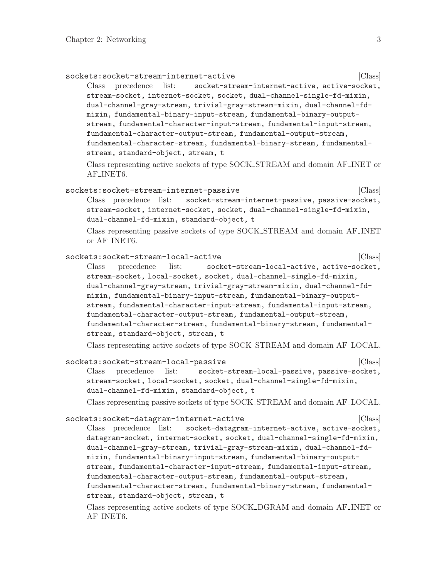<span id="page-5-0"></span>

| sockets:socket-stream-internet-active<br>precedence list:<br>socket-stream-internet-active, active-socket,<br>Class<br>stream-socket, internet-socket, socket, dual-channel-single-fd-mixin,<br>dual-channel-gray-stream, trivial-gray-stream-mixin, dual-channel-fd-<br>mixin, fundamental-binary-input-stream, fundamental-binary-output-<br>stream, fundamental-character-input-stream, fundamental-input-stream,<br>fundamental-character-output-stream, fundamental-output-stream,<br>fundamental-character-stream, fundamental-binary-stream, fundamental-<br>stream, standard-object, stream, t<br>Class representing active sockets of type SOCK_STREAM and domain AF_INET or                | [Class] |
|------------------------------------------------------------------------------------------------------------------------------------------------------------------------------------------------------------------------------------------------------------------------------------------------------------------------------------------------------------------------------------------------------------------------------------------------------------------------------------------------------------------------------------------------------------------------------------------------------------------------------------------------------------------------------------------------------|---------|
| AF <sub>-INET6</sub> .                                                                                                                                                                                                                                                                                                                                                                                                                                                                                                                                                                                                                                                                               |         |
| sockets:socket-stream-internet-passive<br>Class precedence list:<br>socket-stream-internet-passive, passive-socket,<br>stream-socket, internet-socket, socket, dual-channel-single-fd-mixin,<br>dual-channel-fd-mixin, standard-object, t<br>Class representing passive sockets of type SOCK_STREAM and domain AF_INET<br>or AF_INET6.                                                                                                                                                                                                                                                                                                                                                               | [Class] |
| sockets:socket-stream-local-active<br>socket-stream-local-active, active-socket,<br>Class<br>precedence<br>list:<br>stream-socket, local-socket, socket, dual-channel-single-fd-mixin,<br>dual-channel-gray-stream, trivial-gray-stream-mixin, dual-channel-fd-<br>mixin, fundamental-binary-input-stream, fundamental-binary-output-<br>stream, fundamental-character-input-stream, fundamental-input-stream,<br>fundamental-character-output-stream, fundamental-output-stream,<br>fundamental-character-stream, fundamental-binary-stream, fundamental-<br>stream, standard-object, stream, t                                                                                                     | [Class] |
| Class representing active sockets of type SOCK_STREAM and domain AF_LOCAL.<br>sockets:socket-stream-local-passive<br>precedence<br>list:<br>socket-stream-local-passive, passive-socket,<br>Class<br>stream-socket, local-socket, socket, dual-channel-single-fd-mixin,<br>dual-channel-fd-mixin, standard-object, t<br>Class representing passive sockets of type SOCK_STREAM and domain AF_LOCAL.                                                                                                                                                                                                                                                                                                  | [Class] |
| sockets:socket-datagram-internet-active<br>Class precedence list:<br>socket-datagram-internet-active, active-socket,<br>datagram-socket, internet-socket, socket, dual-channel-single-fd-mixin,<br>dual-channel-gray-stream, trivial-gray-stream-mixin, dual-channel-fd-<br>mixin, fundamental-binary-input-stream, fundamental-binary-output-<br>stream, fundamental-character-input-stream, fundamental-input-stream,<br>fundamental-character-output-stream, fundamental-output-stream,<br>fundamental-character-stream, fundamental-binary-stream, fundamental-<br>stream, standard-object, stream, t<br>Class representing active sockets of type SOCK_DGRAM and domain AF_INET or<br>AF_INET6. | [Class] |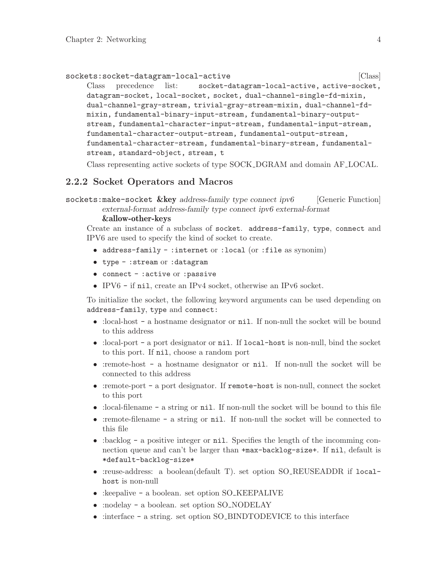```
sockets:socket-datagram-local-active \qquad [Class]
    Class precedence list: socket-datagram-local-active, active-socket,
    datagram-socket, local-socket, socket, dual-channel-single-fd-mixin,
    dual-channel-gray-stream, trivial-gray-stream-mixin, dual-channel-fd-
    mixin, fundamental-binary-input-stream, fundamental-binary-output-
    stream, fundamental-character-input-stream, fundamental-input-stream,
    fundamental-character-output-stream, fundamental-output-stream,
    fundamental-character-stream, fundamental-binary-stream, fundamental-
    stream, standard-object, stream, t
```
Class representing active sockets of type SOCK DGRAM and domain AF LOCAL.

#### 2.2.2 Socket Operators and Macros

```
sockets:make-socket &key address-family type connect ipv6 [Generic Function]
         external-format address-family type connect ipv6 external-format
         &allow-other-keys
```
Create an instance of a subclass of socket. address-family, type, connect and IPV6 are used to specify the kind of socket to create.

- address-family :internet or :local (or :file as synonim)
- type :stream or :datagram
- connect :active or : passive
- IPV6 if nil, create an IPv4 socket, otherwise an IPv6 socket.

To initialize the socket, the following keyword arguments can be used depending on address-family, type and connect:

- :local-host a hostname designator or nil. If non-null the socket will be bound to this address
- :local-port a port designator or nil. If local-host is non-null, bind the socket to this port. If nil, choose a random port
- :remote-host a hostname designator or nil. If non-null the socket will be connected to this address
- :remote-port a port designator. If remote-host is non-null, connect the socket to this port
- :local-filename a string or nil. If non-null the socket will be bound to this file
- :remote-filename a string or nil. If non-null the socket will be connected to this file
- :backlog a positive integer or nil. Specifies the length of the incomming connection queue and can't be larger than +max-backlog-size+. If nil, default is \*default-backlog-size\*
- :reuse-address: a boolean(default T). set option SO\_REUSEADDR if localhost is non-null
- :keepalive a boolean. set option SO KEEPALIVE
- :nodelay a boolean. set option SO\_NODELAY
- :interface a string. set option SO\_BINDTODEVICE to this interface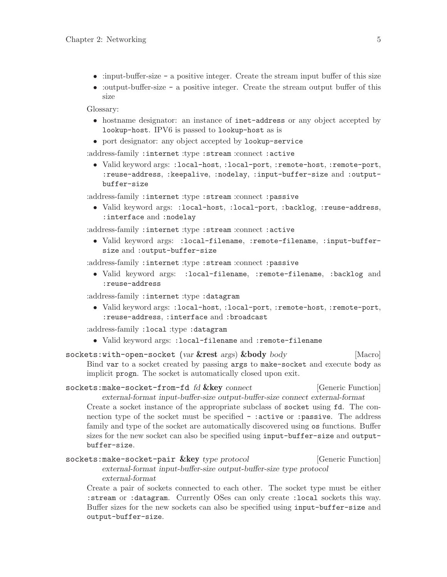- <span id="page-7-0"></span>• :input-buffer-size - a positive integer. Create the stream input buffer of this size
- :output-buffer-size a positive integer. Create the stream output buffer of this size

Glossary:

- hostname designator: an instance of inet-address or any object accepted by lookup-host. IPV6 is passed to lookup-host as is
- port designator: any object accepted by lookup-service

:address-family :internet :type :stream :connect :active

• Valid keyword args: :local-host, :local-port, :remote-host, :remote-port, :reuse-address, :keepalive, :nodelay, :input-buffer-size and :outputbuffer-size

:address-family :internet :type :stream :connect :passive

• Valid keyword args: :local-host, :local-port, :backlog, :reuse-address, :interface and :nodelay

:address-family :internet :type :stream :connect :active

• Valid keyword args: :local-filename, :remote-filename, :input-buffersize and :output-buffer-size

:address-family :internet :type :stream :connect :passive

• Valid keyword args: :local-filename, :remote-filename, :backlog and :reuse-address

:address-family :internet :type :datagram

• Valid keyword args: :local-host, :local-port, :remote-host, :remote-port, :reuse-address, :interface and :broadcast

:address-family :local :type :datagram

• Valid keyword args: :local-filename and :remote-filename

sockets:with-open-socket (var &rest args) &body body [Macro] Bind var to a socket created by passing args to make-socket and execute body as implicit progn. The socket is automatically closed upon exit.

```
sockets:make-socket-from-fd fd &key connect [Generic Function]
        external-format input-buffer-size output-buffer-size connect external-format
```
Create a socket instance of the appropriate subclass of socket using fd. The connection type of the socket must be specified - : active or : passive. The address family and type of the socket are automatically discovered using os functions. Buffer sizes for the new socket can also be specified using input-buffer-size and outputbuffer-size.

```
sockets:make-socket-pair &key type protocol [Generic Function]
        external-format input-buffer-size output-buffer-size type protocol
        external-format
```
Create a pair of sockets connected to each other. The socket type must be either :stream or :datagram. Currently OSes can only create :local sockets this way. Buffer sizes for the new sockets can also be specified using input-buffer-size and output-buffer-size.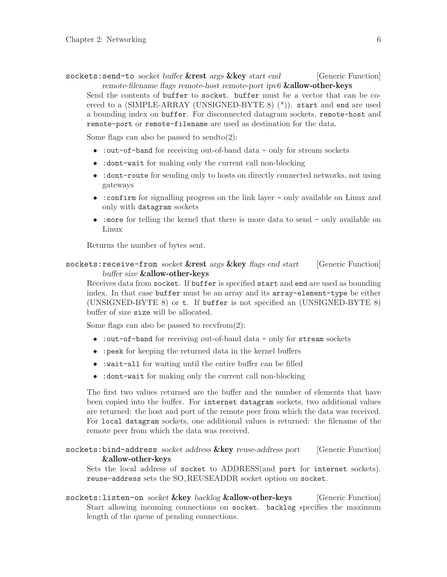<span id="page-8-0"></span>sockets: send-to socket buffer &rest args &key start end [Generic Function] remote-filename flags remote-host remote-port ipv6 &allow-other-keys Send the contents of buffer to socket. buffer must be a vector that can be co-

erced to a (SIMPLE-ARRAY (UNSIGNED-BYTE 8) (\*)). start and end are used a bounding index on buffer. For disconnected datagram sockets, remote-host and remote-port or remote-filename are used as destination for the data.

Some flags can also be passed to sendto $(2)$ :

- : out-of-band for receiving out-of-band data only for stream sockets
- : dont-wait for making only the current call non-blocking
- :dont-route for sending only to hosts on directly connected networks, not using gateways
- : confirm for signalling progress on the link layer only available on Linux and only with datagram sockets
- :more for telling the kernel that there is more data to send only available on Linux

Returns the number of bytes sent.

#### sockets: receive-from socket &rest args &key flags end start [Generic Function] buffer size &allow-other-keys

Receives data from socket. If buffer is specified start and end are used as bounding index. In that case buffer must be an array and its array-element-type be either (UNSIGNED-BYTE 8) or t. If buffer is not specified an (UNSIGNED-BYTE 8) buffer of size size will be allocated.

Some flags can also be passed to  $recvfrom(2)$ :

- : out-of-band for receiving out-of-band data only for stream sockets
- :peek for keeping the returned data in the kernel buffers
- :wait-all for waiting until the entire buffer can be filled
- :dont-wait for making only the current call non-blocking

The first two values returned are the buffer and the number of elements that have been copied into the buffer. For internet datagram sockets, two additional values are returned: the host and port of the remote peer from which the data was received. For local datagram sockets, one additional values is returned: the filename of the remote peer from which the data was received.

#### sockets: bind-address socket address &key reuse-address port [Generic Function] &allow-other-keys

Sets the local address of socket to ADDRESS(and port for internet sockets). reuse-address sets the SO REUSEADDR socket option on socket.

sockets: listen-on socket & key backlog & allow-other-keys [Generic Function] Start allowing incoming connections on socket. backlog specifies the maximum length of the queue of pending connections.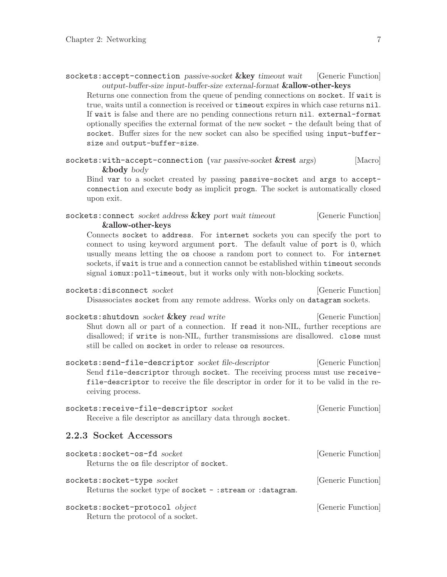<span id="page-9-0"></span>

| sockets: accept-connection passive-socket & key timeout wait [Generic Function]   |  |
|-----------------------------------------------------------------------------------|--|
| output-buffer-size input-buffer-size external-format <b>&amp;allow-other-keys</b> |  |

Returns one connection from the queue of pending connections on socket. If wait is true, waits until a connection is received or timeout expires in which case returns nil. If wait is false and there are no pending connections return nil. external-format optionally specifies the external format of the new socket - the default being that of socket. Buffer sizes for the new socket can also be specified using input-buffersize and output-buffer-size.

```
sockets:with-accept-connection (var passive-socket &rest args) [Macro]
       &body body
```
Bind var to a socket created by passing passive-socket and args to acceptconnection and execute body as implicit progn. The socket is automatically closed upon exit.

#### sockets: connect socket address  $&key$  port wait timeout [Generic Function] &allow-other-keys

Connects socket to address. For internet sockets you can specify the port to connect to using keyword argument port. The default value of port is 0, which usually means letting the os choose a random port to connect to. For internet sockets, if wait is true and a connection cannot be established within timeout seconds signal iomux: poll-timeout, but it works only with non-blocking sockets.

|  |  | sockets:disconnect socket |
|--|--|---------------------------|
|--|--|---------------------------|

[Generic Function] Disassociates socket from any remote address. Works only on datagram sockets.

sockets: shutdown socket & key read write [Generic Function] Shut down all or part of a connection. If read it non-NIL, further receptions are disallowed; if write is non-NIL, further transmissions are disallowed. close must still be called on socket in order to release os resources.

sockets: send-file-descriptor socket file-descriptor [Generic Function] Send file-descriptor through socket. The receiving process must use receivefile-descriptor to receive the file descriptor in order for it to be valid in the receiving process.

| sockets: receive-file-descriptor socket                     | [Generic Function] |
|-------------------------------------------------------------|--------------------|
| Receive a file descriptor as ancillary data through socket. |                    |

#### 2.2.3 Socket Accessors

| sockets: socket-os-fd socket                                                               | [Generic Function] |
|--------------------------------------------------------------------------------------------|--------------------|
| Returns the os file descriptor of socket.                                                  |                    |
| sockets: socket-type socket<br>Returns the socket type of socket - : stream or : datagram. | [Generic Function] |
| sockets: socket-protocol object<br>Return the protocol of a socket.                        | [Generic Function] |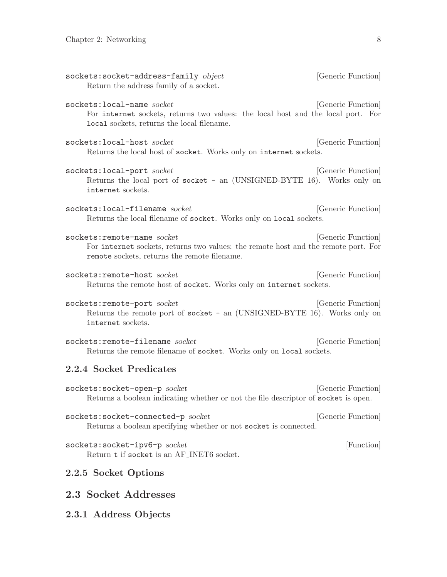<span id="page-10-0"></span>

| sockets:socket-address-family object<br>Return the address family of a socket.                                                                                    | [Generic Function] |
|-------------------------------------------------------------------------------------------------------------------------------------------------------------------|--------------------|
| sockets: local-name socket<br>For internet sockets, returns two values: the local host and the local port. For<br>local sockets, returns the local filename.      | [Generic Function] |
| sockets: local-host socket<br>Returns the local host of socket. Works only on internet sockets.                                                                   | [Generic Function] |
| sockets: local-port socket<br>Returns the local port of socket - an (UNSIGNED-BYTE 16). Works only on<br>internet sockets.                                        | [Generic Function] |
| sockets: local-filename socket<br>Returns the local filename of socket. Works only on local sockets.                                                              | [Generic Function] |
| sockets: remote-name socket<br>For internet sockets, returns two values: the remote host and the remote port. For<br>remote sockets, returns the remote filename. | [Generic Function] |
| sockets: remote-host socket<br>Returns the remote host of socket. Works only on internet sockets.                                                                 | [Generic Function] |
| sockets: remote-port socket<br>Returns the remote port of socket - an (UNSIGNED-BYTE 16). Works only on<br>internet sockets.                                      | [Generic Function] |
| sockets: remote-filename socket<br>Returns the remote filename of socket. Works only on local sockets.                                                            | [Generic Function] |
| 2.2.4 Socket Predicates                                                                                                                                           |                    |
| sockets: socket-open-p socket<br>Returns a boolean indicating whether or not the file descriptor of socket is open.                                               | [Generic Function] |
| sockets: socket-connected-p socket<br>Returns a boolean specifying whether or not socket is connected.                                                            | [Generic Function] |
| sockets: socket-ipv6-p socket<br>Return t if socket is an AF_INET6 socket.                                                                                        | [Function]         |
| 2.2.5 Socket Options                                                                                                                                              |                    |
| 2.3 Socket Addresses                                                                                                                                              |                    |
| 2.3.1 Address Objects                                                                                                                                             |                    |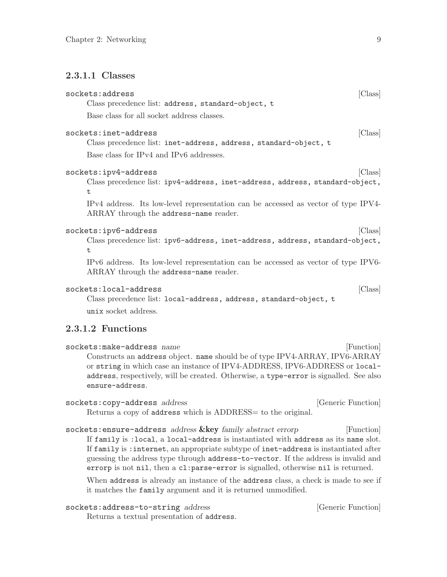#### <span id="page-11-0"></span>2.3.1.1 Classes

| sockets:address                                                                                                              | Class   |
|------------------------------------------------------------------------------------------------------------------------------|---------|
| Class precedence list: address, standard-object, t                                                                           |         |
| Base class for all socket address classes.                                                                                   |         |
| sockets:inet-address                                                                                                         | [Class] |
| Class precedence list: inet-address, address, standard-object, t                                                             |         |
| Base class for IPv4 and IPv6 addresses.                                                                                      |         |
| sockets:ipv4-address                                                                                                         | [Class] |
| Class precedence list: ipv4-address, inet-address, address, standard-object,<br>t.                                           |         |
| IPv4 address. Its low-level representation can be accessed as vector of type IPV4-<br>ARRAY through the address-name reader. |         |
| sockets:ipv6-address                                                                                                         | [Class] |
| Class precedence list: ipv6-address, inet-address, address, standard-object,<br>t.                                           |         |
| IPv6 address. Its low-level representation can be accessed as vector of type IPV6-<br>ARRAY through the address-name reader. |         |
| sockets:local-address                                                                                                        | Class   |
| $Class$ precedence $list: local-address$ address standard-object t                                                           |         |

Class precedence list: local-address, address, standard-object, t unix socket address.

# 2.3.1.2 Functions

| ${\tt sockets:make-address \ name}$                                                    | [Function] |
|----------------------------------------------------------------------------------------|------------|
| Constructs an address object. name should be of type IPV4-ARRAY, IPV6-ARRAY            |            |
| or string in which case an instance of IPV4-ADDRESS, IPV6-ADDRESS or local-            |            |
| address, respectively, will be created. Otherwise, a type-error is signalled. See also |            |
| ensure-address.                                                                        |            |
|                                                                                        |            |

| sockets: copy-address address                                 | [Generic Function] |
|---------------------------------------------------------------|--------------------|
| Returns a copy of address which is ADDRESS = to the original. |                    |

sockets: ensure-address address &key family abstract errorp [Function] If family is :local, a local-address is instantiated with address as its name slot. If family is :internet, an appropriate subtype of inet-address is instantiated after guessing the address type through address-to-vector. If the address is invalid and errorp is not nil, then a cl:parse-error is signalled, otherwise nil is returned.

When address is already an instance of the address class, a check is made to see if it matches the family argument and it is returned unmodified.

| sockets:address-to-string address |  |
|-----------------------------------|--|
|-----------------------------------|--|

Returns a textual presentation of address.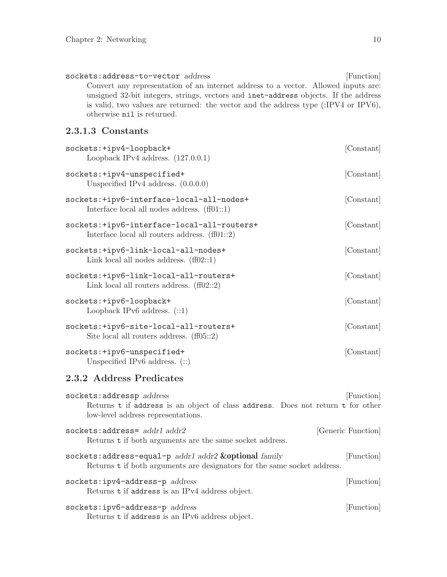<span id="page-12-0"></span>sockets:address-to-vector address [Function] Convert any representation of an internet address to a vector. Allowed inputs are: unsigned 32-bit integers, strings, vectors and inet-address objects. If the address is valid, two values are returned: the vector and the address type (:IPV4 or IPV6), otherwise nil is returned.

## 2.3.1.3 Constants

| sockets: +ipv4-loopback+<br>Loopback IPv4 address. $(127.0.0.1)$                               | [Constant] |
|------------------------------------------------------------------------------------------------|------------|
| sockets: +ipv4-unspecified+<br>Unspecified IPv4 address. $(0.0.0.0)$                           | [Constant] |
| sockets:+ipv6-interface-local-all-nodes+<br>Interface local all nodes address. $(ff01::1)$     | [Constant] |
| sockets:+ipv6-interface-local-all-routers+<br>Interface local all routers address. $(f101::2)$ | [Constant] |
| sockets: +ipv6-link-local-all-nodes+<br>Link local all nodes address. $(ff02::1)$              | [Constant] |
| sockets:+ipv6-link-local-all-routers+<br>Link local all routers address. $(ff02::2)$           | [Constant] |
| sockets: +ipv6-loopback+<br>Loopback IPv6 address. $(::1)$                                     | [Constant] |
| sockets:+ipv6-site-local-all-routers+<br>Site local all routers address. $(f105::2)$           | [Constant] |
| sockets: +ipv6-unspecified+<br>Unspecified IPv6 address. $(::)$                                | [Constant] |
| 2.3.2 Address Predicates                                                                       |            |

| sockets: addressp address                                                                                                                  | [Function]         |
|--------------------------------------------------------------------------------------------------------------------------------------------|--------------------|
| Returns t if address is an object of class address. Does not return t for other<br>low-level address representations.                      |                    |
| $sockets:address = addr1 addr2$<br>Returns t if both arguments are the same socket address.                                                | [Generic Function] |
| sockets: address-equal-p $addr1$ $addr2$ $&$ optional $family$<br>Returns t if both arguments are designators for the same socket address. | [Function]         |
| sockets:ipv4-address-p address<br>Returns t if address is an IPv4 address object.                                                          | [Function]         |
| sockets:ipv6-address-p address<br>Returns t if address is an IPv6 address object.                                                          | [Function]         |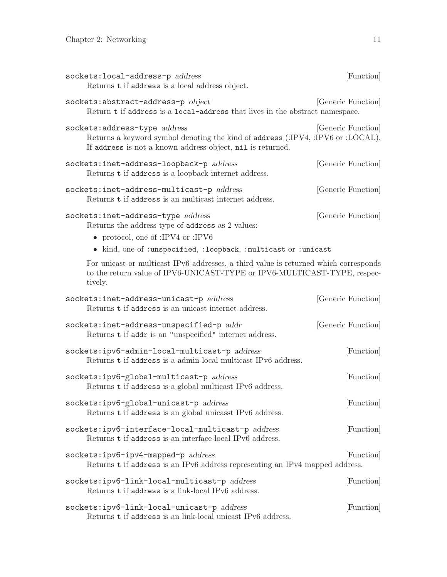<span id="page-13-0"></span>

| sockets: local-address-p address<br>Returns t if address is a local address object.                                                                                                                                                               | [Function]         |
|---------------------------------------------------------------------------------------------------------------------------------------------------------------------------------------------------------------------------------------------------|--------------------|
| sockets:abstract-address-p object<br>Return t if address is a local-address that lives in the abstract namespace.                                                                                                                                 | [Generic Function] |
| sockets: address-type address<br>Returns a keyword symbol denoting the kind of address (:IPV4, :IPV6 or :LOCAL).<br>If address is not a known address object, nil is returned.                                                                    | [Generic Function] |
| sockets:inet-address-loopback-p address<br>Returns t if address is a loopback internet address.                                                                                                                                                   | [Generic Function] |
| sockets:inet-address-multicast-p address<br>Returns t if address is an multicast internet address.                                                                                                                                                | [Generic Function] |
| sockets:inet-address-type address<br>Returns the address type of address as 2 values:<br>• protocol, one of :IPV4 or :IPV6                                                                                                                        | [Generic Function] |
| • kind, one of : unspecified, : loopback, : multicast or : unicast<br>For unicast or multicast IPv6 addresses, a third value is returned which corresponds<br>to the return value of IPV6-UNICAST-TYPE or IPV6-MULTICAST-TYPE, respec-<br>tively. |                    |
| sockets:inet-address-unicast-p address<br>Returns t if address is an unicast internet address.                                                                                                                                                    | [Generic Function] |
| sockets:inet-address-unspecified-p addr<br>Returns t if addr is an "unspecified" internet address.                                                                                                                                                | [Generic Function] |
| sockets:ipv6-admin-local-multicast-p address<br>Returns t if address is a admin-local multicast IPv6 address.                                                                                                                                     | [Function]         |
| sockets:ipv6-global-multicast-p address<br>Returns t if address is a global multicast IPv6 address.                                                                                                                                               | [Function]         |
| sockets:ipv6-global-unicast-p address<br>Returns t if address is an global unicasst IPv6 address.                                                                                                                                                 | [Function]         |
| sockets:ipv6-interface-local-multicast-p address<br>Returns t if address is an interface-local IPv6 address.                                                                                                                                      | [Function]         |
| sockets:ipv6-ipv4-mapped-p address<br>Returns t if address is an IPv6 address representing an IPv4 mapped address.                                                                                                                                | [Function]         |
| sockets:ipv6-link-local-multicast-p address<br>Returns t if address is a link-local IPv6 address.                                                                                                                                                 | [Function]         |
| sockets:ipv6-link-local-unicast-p address<br>Returns t if address is an link-local unicast IPv6 address.                                                                                                                                          | [Function]         |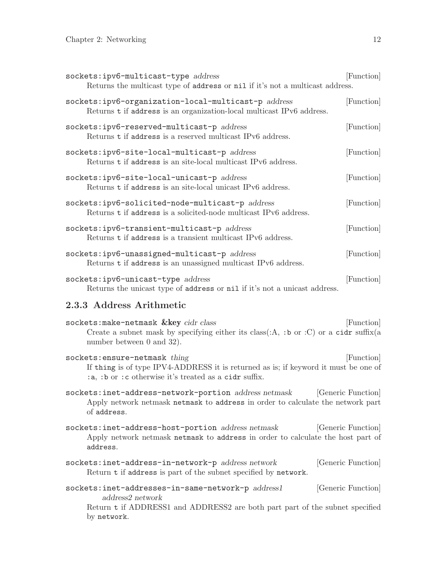<span id="page-14-0"></span>

| sockets:ipv6-multicast-type address<br>Returns the multicast type of address or nil if it's not a multicast address.         | [Function] |
|------------------------------------------------------------------------------------------------------------------------------|------------|
| sockets:ipv6-organization-local-multicast-p address<br>Returns t if address is an organization-local multicast IPv6 address. | [Function] |
| sockets:ipv6-reserved-multicast-p address<br>Returns t if address is a reserved multicast IPv6 address.                      | [Function] |
| sockets:ipv6-site-local-multicast-p address<br>Returns t if address is an site-local multicast IPv6 address.                 | [Function] |
| sockets:ipv6-site-local-unicast-p address<br>Returns t if address is an site-local unicast IPv6 address.                     | [Function] |
| sockets:ipv6-solicited-node-multicast-p address<br>Returns t if address is a solicited-node multicast IPv6 address.          | [Function] |
| sockets:ipv6-transient-multicast-p address<br>Returns t if address is a transient multicast IPv6 address.                    | [Function] |
| sockets:ipv6-unassigned-multicast-p address<br>Returns t if address is an unassigned multicast IPv6 address.                 | [Function] |
| sockets:ipv6-unicast-type address<br>Returns the unicast type of address or nil if it's not a unicast address.               | [Function] |

## 2.3.3 Address Arithmetic

| sockets: make-netmask & key cidr class                                               |  | [Function] |
|--------------------------------------------------------------------------------------|--|------------|
| Create a subnet mask by specifying either its class(:A, :b or :C) or a cidr suffix(a |  |            |
| number between $0$ and $32$ ).                                                       |  |            |

sockets: ensure-netmask thing [Function] If thing is of type IPV4-ADDRESS it is returned as is; if keyword it must be one of :a, :b or :c otherwise it's treated as a cidr suffix.

sockets:inet-address-network-portion address netmask [Generic Function] Apply network netmask netmask to address in order to calculate the network part of address.

sockets:inet-address-host-portion address netmask [Generic Function] Apply network netmask netmask to address in order to calculate the host part of address.

- sockets:inet-address-in-network-p address network [Generic Function] Return t if address is part of the subnet specified by network.
- ${\tt sockets:inet-addresses-in-sample\text{-}network-p}\ \qquad\qquad {\rm \qquad [Generic\ Function]}$ address2 network

Return t if ADDRESS1 and ADDRESS2 are both part part of the subnet specified by network.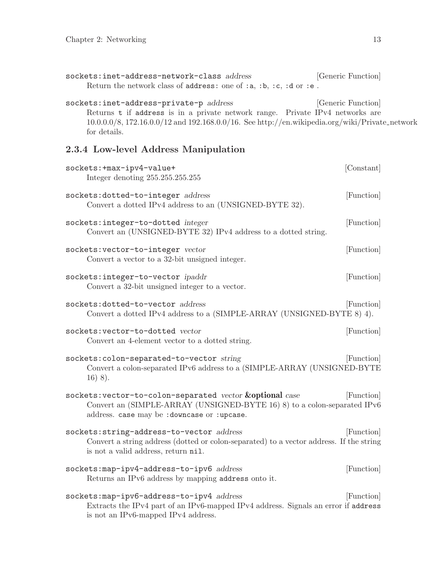for details.

<span id="page-15-0"></span>

| sockets:inet-address-network-class address                                                        | [Generic Function] |
|---------------------------------------------------------------------------------------------------|--------------------|
| Return the network class of address: one of :a, :b, :c, :d or :e.                                 |                    |
|                                                                                                   |                    |
| sockets:inet-address-private-p address                                                            | [Generic Function] |
| Returns t if address is in a private network range. Private IPv4 networks are                     |                    |
| $10.0.0.0/8$ , 172.16.0.0/12 and 192.168.0.0/16. See http://en.wikipedia.org/wiki/Private_network |                    |

2.3.4 Low-level Address Manipulation

| sockets: +max-ipv4-value+<br>Integer denoting 255.255.255.255                                                                                                                         | [Constant] |
|---------------------------------------------------------------------------------------------------------------------------------------------------------------------------------------|------------|
| sockets:dotted-to-integer address<br>Convert a dotted IPv4 address to an (UNSIGNED-BYTE 32).                                                                                          | [Function] |
| sockets:integer-to-dotted integer<br>Convert an (UNSIGNED-BYTE 32) IPv4 address to a dotted string.                                                                                   | [Function] |
| sockets: vector-to-integer vector<br>Convert a vector to a 32-bit unsigned integer.                                                                                                   | [Function] |
| sockets: integer-to-vector ipaddr<br>Convert a 32-bit unsigned integer to a vector.                                                                                                   | [Function] |
| sockets:dotted-to-vector address<br>Convert a dotted IPv4 address to a (SIMPLE-ARRAY (UNSIGNED-BYTE $8$ ) 4).                                                                         | [Function] |
| sockets: vector-to-dotted vector<br>Convert an 4-element vector to a dotted string.                                                                                                   | [Function] |
| sockets: colon-separated-to-vector string<br>Convert a colon-separated IPv6 address to a (SIMPLE-ARRAY (UNSIGNED-BYTE<br>$16)$ 8).                                                    | [Function] |
| sockets: vector-to-colon-separated vector & optional case<br>Convert an (SIMPLE-ARRAY (UNSIGNED-BYTE 16) 8) to a colon-separated IPv6<br>address. case may be : downcase or : upcase. | [Function] |
| sockets: string-address-to-vector address<br>Convert a string address (dotted or colon-separated) to a vector address. If the string<br>is not a valid address, return nil.           | [Function] |
| sockets: map-ipv4-address-to-ipv6 address<br>Returns an IPv6 address by mapping address onto it.                                                                                      | [Function] |
| sockets: map-ipv6-address-to-ipv4 address<br>Extracts the IPv4 part of an IPv6-mapped IPv4 address. Signals an error if address<br>is not an IPv6-mapped IPv4 address.                | [Function] |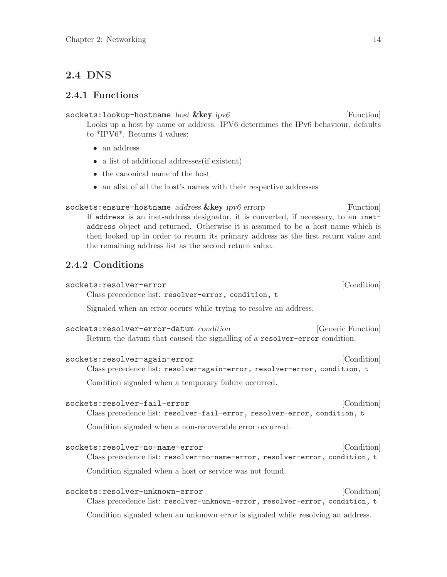# <span id="page-16-0"></span>2.4 DNS

#### 2.4.1 Functions

sockets: lookup-hostname host &key ipv6 [Function] Looks up a host by name or address. IPV6 determines the IPv6 behaviour, defaults to \*IPV6\*. Returns 4 values:

- an address
- a list of additional addresses (if existent)
- the canonical name of the host
- an alist of all the host's names with their respective addresses

#### sockets:ensure-hostname address &key ipv6 errorp [Function] If address is an inet-address designator, it is converted, if necessary, to an inetaddress object and returned. Otherwise it is assumed to be a host name which is

then looked up in order to return its primary address as the first return value and the remaining address list as the second return value.

# 2.4.2 Conditions

| sockets:resolver-error                                                                                               | [Condition]        |
|----------------------------------------------------------------------------------------------------------------------|--------------------|
| Class precedence list: resolver-error, condition, t                                                                  |                    |
| Signaled when an error occurs while trying to resolve an address.                                                    |                    |
| sockets:resolver-error-datum condition<br>Return the datum that caused the signalling of a resolver-error condition. | [Generic Function] |
| sockets:resolver-again-error                                                                                         | [Condition]        |

Class precedence list: resolver-again-error, resolver-error, condition, t

Condition signaled when a temporary failure occurred.

| sockets:resolver-fail-error<br>Class precedence list: resolver-fail-error, resolver-error, condition, t       | [Condition] |
|---------------------------------------------------------------------------------------------------------------|-------------|
| Condition signaled when a non-recoverable error occurred.                                                     |             |
| sockets:resolver-no-name-error<br>Class precedence list: resolver-no-name-error, resolver-error, condition, t | [Condition] |

Condition signaled when a host or service was not found.

| sockets:resolver-unknown-error                                                   | [Condition] |  |
|----------------------------------------------------------------------------------|-------------|--|
| Class precedence list: resolver-unknown-error, resolver-error, condition, t      |             |  |
| Condition signaled when an unknown error is signaled while resolving an address. |             |  |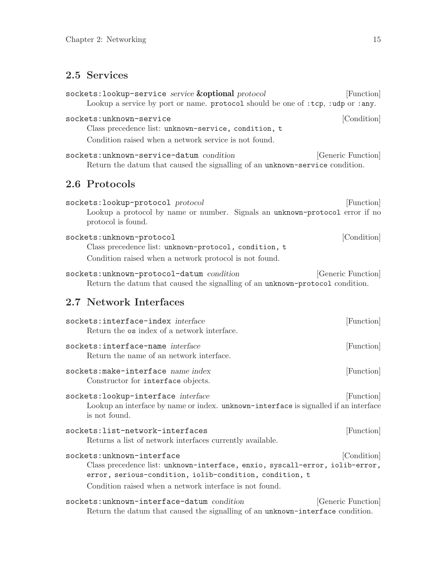# <span id="page-17-0"></span>2.5 Services

sockets:lookup-service service **&optional** protocol [Function] Lookup a service by port or name. protocol should be one of :tcp, :udp or :any. sockets:unknown-service [Condition] Class precedence list: unknown-service, condition, t Condition raised when a network service is not found. sockets:unknown-service-datum condition [Generic Function] Return the datum that caused the signalling of an unknown-service condition. 2.6 Protocols sockets:lookup-protocol protocol  $(Function)$ Lookup a protocol by name or number. Signals an unknown-protocol error if no protocol is found. sockets:unknown-protocol [Condition] Class precedence list: unknown-protocol, condition, t Condition raised when a network protocol is not found. sockets:unknown-protocol-datum condition [Generic Function] Return the datum that caused the signalling of an unknown-protocol condition. 2.7 Network Interfaces sockets:interface-index interface [Function] Return the os index of a network interface. sockets:interface-name *interface* [Function] Return the name of an network interface. sockets:make-interface name index [Function] Constructor for interface objects. sockets:lookup-interface *interface* [Function] Lookup an interface by name or index. unknown-interface is signalled if an interface is not found. sockets:list-network-interfaces [Function] Returns a list of network interfaces currently available. sockets:unknown-interface [Condition] Class precedence list: unknown-interface, enxio, syscall-error, iolib-error, error, serious-condition, iolib-condition, condition, t Condition raised when a network interface is not found. sockets:unknown-interface-datum condition [Generic Function] Return the datum that caused the signalling of an unknown-interface condition.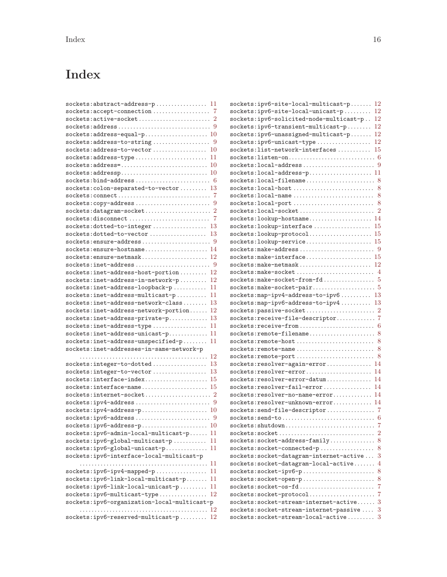# <span id="page-18-0"></span>Index

| ${\tt sockets:active-score} \label{eq:socket} \texttt{scack} \texttt{et} \dots \dots \dots \dots \dots \dots \dots \dots \dots \dots \dots \dots$ |
|---------------------------------------------------------------------------------------------------------------------------------------------------|
| ${\tt sockets:address}\dots \dots \dots \dots \dots \dots \dots \dots \dots \dots \ 9$                                                            |
|                                                                                                                                                   |
|                                                                                                                                                   |
|                                                                                                                                                   |
| ${\tt sockets:address-type}\dots\dots\dots\dots\dots\dots\dots\dots 11$                                                                           |
| ${\tt sockets:address=.\dots.\dots.\dots.\dots.\dots.\dots.\ 10}$                                                                                 |
| ${\tt sockets:addressp.}\dots \dots \dots \dots \dots \dots \dots \dots \dots \dots \ 10$                                                         |
|                                                                                                                                                   |
| ${\tt sockets: colon-separated-to-vector.\dots.\dots.\ 13}$                                                                                       |
|                                                                                                                                                   |
| sockets:copy-address<br>9                                                                                                                         |
| ${\tt sockets:datagram-sockets.\dots\dots\dots\dots\dots\dots\ 2}$                                                                                |
|                                                                                                                                                   |
| sockets:dotted-to-integer 13                                                                                                                      |
|                                                                                                                                                   |
| ${\tt sockets:ensure{\texttt{-}address}\dots\dots\dots\dots\dots\dots\dots\ 9}$                                                                   |
| sockets: ensure-hostname 14                                                                                                                       |
| $sockets:ensure{\text{-}network}\dots$                                                                                                            |
| $sockets: \text{inet-address} \dots \dots \dots \dots \dots \dots \dots \dots$                                                                    |
| $sockets: \texttt{inet-address-host-portion} \dots \dots \dots \ 12$                                                                              |
| $sockets: \texttt{inet-address-in-network-p} \dots \dots \ 12$                                                                                    |
| sockets:inet-address-loopback-p<br>-11                                                                                                            |
| $sockets: \texttt{inet-address-multicast-p} \dots \dots$<br>11                                                                                    |
| ${\tt sockets:inet-address-network-class}\dots\dots\,.$<br>-13                                                                                    |
| $\verb sockets : \verb inet-address-network-proction , \ldots, 12$                                                                                |
| sockets:inet-address-private-p<br>-13                                                                                                             |
| sockets:inet-address-type<br>11                                                                                                                   |
| $\verb sockets : \verb inet-address-unicast-p .\verb .\dots \dots  \ 11$                                                                          |
| sockets:inet-address-unspecified-p<br>-11                                                                                                         |
| sockets:inet-addresses-in-same-network-p                                                                                                          |
| $12\,$                                                                                                                                            |
| sockets:integer-to-dotted<br>13                                                                                                                   |
| sockets:integer-to-vector<br>-13                                                                                                                  |
| $sockets: \text{interface-index} \dots \dots \dots \dots \dots \dots \dots \ 15$                                                                  |
| $sockets: \texttt{interface-name} \dots \dots \dots \dots \dots \dots \dots \ 15$                                                                 |
|                                                                                                                                                   |
|                                                                                                                                                   |
| ${\tt sockets:ipv4$-address-p$ 10                                                                                                                 |
|                                                                                                                                                   |
| ${\tt sockets:ipv6\text{-}address\text{-}p}\dots\dots\dots\dots\dots\dots\dots\dots\dots 10$                                                      |
| sockets:ipv6-admin-local-multicast-p<br>11                                                                                                        |
| 11<br>sockets:ipv6-global-multicast-p                                                                                                             |
| sockets:ipv6-global-unicast-p<br>11                                                                                                               |
| sockets:ipv6-interface-local-multicast-p                                                                                                          |
| 11                                                                                                                                                |
| sockets:ipv6-ipv4-mapped-p<br>11                                                                                                                  |
|                                                                                                                                                   |
| 11                                                                                                                                                |
| sockets:ipv6-link-local-multicast-p<br>11                                                                                                         |
| sockets:ipv6-link-local-unicast-p<br>12                                                                                                           |
| sockets:ipv6-multicast-type                                                                                                                       |
| sockets:ipv6-organization-local-multicast-p<br>12                                                                                                 |
| sockets:ipv6-reserved-multicast-p<br>12                                                                                                           |

| $sockets: ipv6-site-local-multicast-p 12$                                |                |
|--------------------------------------------------------------------------|----------------|
| sockets:ipv6-site-local-unicast-p                                        | 12             |
| sockets:ipv6-solicited-node-multicast-p                                  | 12             |
| sockets:ipv6-transient-multicast-p                                       | 12             |
| $sockets: ipv6-unassigned-multicast-p$                                   | 12             |
| sockets:ipv6-unicast-type                                                | 12             |
| $sockets: list-network-interfaces \ldots \ldots \ldots 15$               |                |
| $sockets: listen-on.\dots.\dots.\dots.\dots.\dots.\dots.\dots.\dots$     |                |
| ${\tt sockets:local-address}\dots\dots\dots\dots\dots\dots\dots \ 9$     |                |
| $sockets:local-address-p.\dots.\dots.\dots.\dots.\dots 11$               |                |
| $sockets:local-file name \ldots \ldots \ldots \ldots \ldots \ldots \ 8$  |                |
|                                                                          |                |
| $sockets:local-name \dots \dots \dots \dots \dots \dots \dots \dots$     |                |
|                                                                          |                |
| ${\tt sockets:local-sacket}\dots\dots\dots\dots\dots\dots\dots\dots \ 2$ |                |
| sockets: lookup-hostname 14                                              |                |
| $sockets:lookup-interface \ldots \ldots \ldots \ldots \ldots 15$         |                |
| ${\tt sockets:lookup-protocol.}\dots\dots\dots\dots\dots\dots \ 15$      |                |
| $\texttt{sockets:lookup-service}\dots\dots\dots\dots\dots\dots\dots\ 15$ |                |
| $\verb sockets:make-address\ldots\ldots\ldots\ldots\ldots\ldots\quad9$   |                |
| $\verb sockets:make-intertace  \dots \dots \dots \dots \dots \ 15$       |                |
| $\texttt{sockets:make-netmask}.\dots.\dots.\dots.\dots.\dots.\ 12$       |                |
|                                                                          |                |
| $sockets: make-sockets-from-fd  5$                                       |                |
| $\verb sockets:make-socket-pair+ \dots 5 $                               |                |
| $sockets:$ map-ipv4-address-to-ipv6 13                                   |                |
| $sockets:$ map-ipv6-address-to-ipv4 13                                   |                |
| ${\tt sockets: passive-scorekt}\dots\dots\dots\dots\dots\dots\dots\ 2$   |                |
| sockets:receive-file-descriptor 7                                        |                |
|                                                                          |                |
| $sockets:remote-filename \ldots \ldots \ldots \ldots \ldots \ 8$         |                |
|                                                                          |                |
|                                                                          |                |
|                                                                          |                |
| sockets:resolver-again-error 14                                          |                |
| sockets:resolver-error 14                                                |                |
| sockets:resolver-error-datum                                             | 14             |
| sockets:resolver-fail-error                                              | 14             |
| $sockets:resolver-no-name-error$ 14                                      |                |
| sockets:resolver-unknown-error 14                                        |                |
| sockets:send-file-descriptor 7                                           |                |
| ${\tt sockets:send-to.\dots\dots\dots\dots\dots\dots\dots\dots\dots\ 6}$ |                |
| sockets:shutdown                                                         | $\overline{7}$ |
| sockets:socket                                                           | $\overline{2}$ |
| sockets:socket-address-family                                            | 8              |
| sockets:socket-connected-p                                               | 8              |
| sockets:socket-datagram-internet-active                                  | 3              |
| sockets:socket-datagram-local-active                                     | $\overline{4}$ |
| sockets:socket-ipv6-p                                                    | 8              |
| sockets:socket-open-p                                                    | 8              |
| sockets:socket-os-fd                                                     | 7              |
| sockets:socket-protocol                                                  | 7              |
| $\verb sockets : \verb socket-stream-internet-active .\dots.$            | 3              |
| sockets:socket-stream-internet-passive                                   | 3              |
| $\verb sockets : \verb socket-stream-local-active : 3$                   |                |
|                                                                          |                |